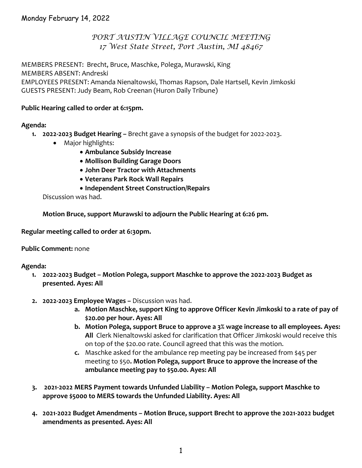## *PORT AUSTIN VILLAGE COUNCIL MEETING 17 West State Street, Port Austin, MI 48467*

MEMBERS PRESENT: Brecht, Bruce, Maschke, Polega, Murawski, King MEMBERS ABSENT: Andreski EMPLOYEES PRESENT: Amanda Nienaltowski, Thomas Rapson, Dale Hartsell, Kevin Jimkoski GUESTS PRESENT: Judy Beam, Rob Creenan (Huron Daily Tribune)

#### **Public Hearing called to order at 6:15pm.**

#### **Agenda:**

- **1. 2022‐2023 Budget Hearing –** Brecht gave a synopsis of the budget for 2022‐2023.
	- Major highlights:
		- **Ambulance Subsidy Increase**
		- **Mollison Building Garage Doors**
		- **John Deer Tractor with Attachments**
		- **Veterans Park Rock Wall Repairs**
		- **Independent Street Construction/Repairs**

Discussion was had.

**Motion Bruce, support Murawski to adjourn the Public Hearing at 6:26 pm.**

**Regular meeting called to order at 6:30pm.**

#### **Public Comment:** none

#### **Agenda:**

- **1. 2022‐2023 Budget – Motion Polega, support Maschke to approve the 2022‐2023 Budget as presented. Ayes: All**
- **2. 2022‐2023 Employee Wages –** Discussion was had.
	- **a. Motion Maschke, support King to approve Officer Kevin Jimkoski to a rate of pay of \$20.00 per hour. Ayes: All**
	- **b. Motion Polega, support Bruce to approve a 3% wage increase to all employees. Ayes: All** Clerk Nienaltowski asked for clarification that Officer Jimkoski would receive this on top of the \$20.00 rate. Council agreed that this was the motion.
	- **c.** Maschke asked for the ambulance rep meeting pay be increased from \$45 per meeting to \$50**. Motion Polega, support Bruce to approve the increase of the ambulance meeting pay to \$50.00. Ayes: All**
- **3. 2021‐2022 MERS Payment towards Unfunded Liability – Motion Polega, support Maschke to approve \$5000 to MERS towards the Unfunded Liability. Ayes: All**
- **4. 2021‐2022 Budget Amendments – Motion Bruce, support Brecht to approve the 2021‐2022 budget amendments as presented. Ayes: All**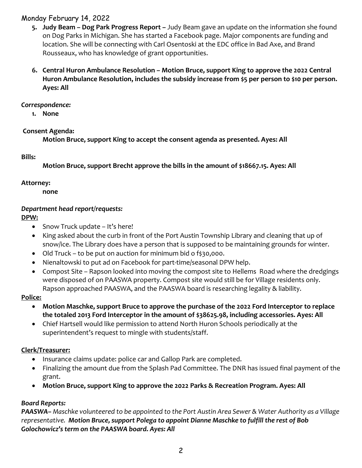## Monday February 14, 2022

- **5. Judy Beam – Dog Park Progress Report –** Judy Beam gave an update on the information she found on Dog Parks in Michigan. She has started a Facebook page. Major components are funding and location. She will be connecting with Carl Osentoski at the EDC office in Bad Axe, and Brand Rousseaux, who has knowledge of grant opportunities.
- **6. Central Huron Ambulance Resolution – Motion Bruce, support King to approve the 2022 Central Huron Ambulance Resolution, includes the subsidy increase from \$5 per person to \$10 per person. Ayes: All**

#### *Correspondence:*

**1. None**

### **Consent Agenda:**

**Motion Bruce, support King to accept the consent agenda as presented. Ayes: All**

### **Bills:**

**Motion Bruce, support Brecht approve the bills in the amount of \$18667.15. Ayes: All** 

### **Attorney:**

**none**

## *Department head report/requests:*

# **DPW:**

- Snow Truck update It's here!
- King asked about the curb in front of the Port Austin Township Library and cleaning that up of snow/ice. The Library does have a person that is supposed to be maintaining grounds for winter.
- Old Truck to be put on auction for minimum bid o f\$30,000.
- Nienaltowski to put ad on Facebook for part‐time/seasonal DPW help.
- Compost Site Rapson looked into moving the compost site to Hellems Road where the dredgings were disposed of on PAASWA property. Compost site would still be for Village residents only. Rapson approached PAASWA, and the PAASWA board is researching legality & liability.

# **Police:**

- **Motion Maschke, support Bruce to approve the purchase of the 2022 Ford Interceptor to replace the totaled 2013 Ford Interceptor in the amount of \$38625.98, including accessories. Ayes: All**
- Chief Hartsell would like permission to attend North Huron Schools periodically at the superintendent's request to mingle with students/staff.

# **Clerk/Treasurer:**

- Insurance claims update: police car and Gallop Park are completed.
- Finalizing the amount due from the Splash Pad Committee. The DNR has issued final payment of the grant.
- **Motion Bruce, support King to approve the 2022 Parks & Recreation Program. Ayes: All**

# *Board Reports:*

**PAASWA** – Maschke volunteered to be appointed to the Port Austin Area Sewer & Water Authority as a Village *representative. Motion Bruce, support Polega to appoint Dianne Maschke to fulfill the rest of Bob Golochowicz's term on the PAASWA board. Ayes: All*